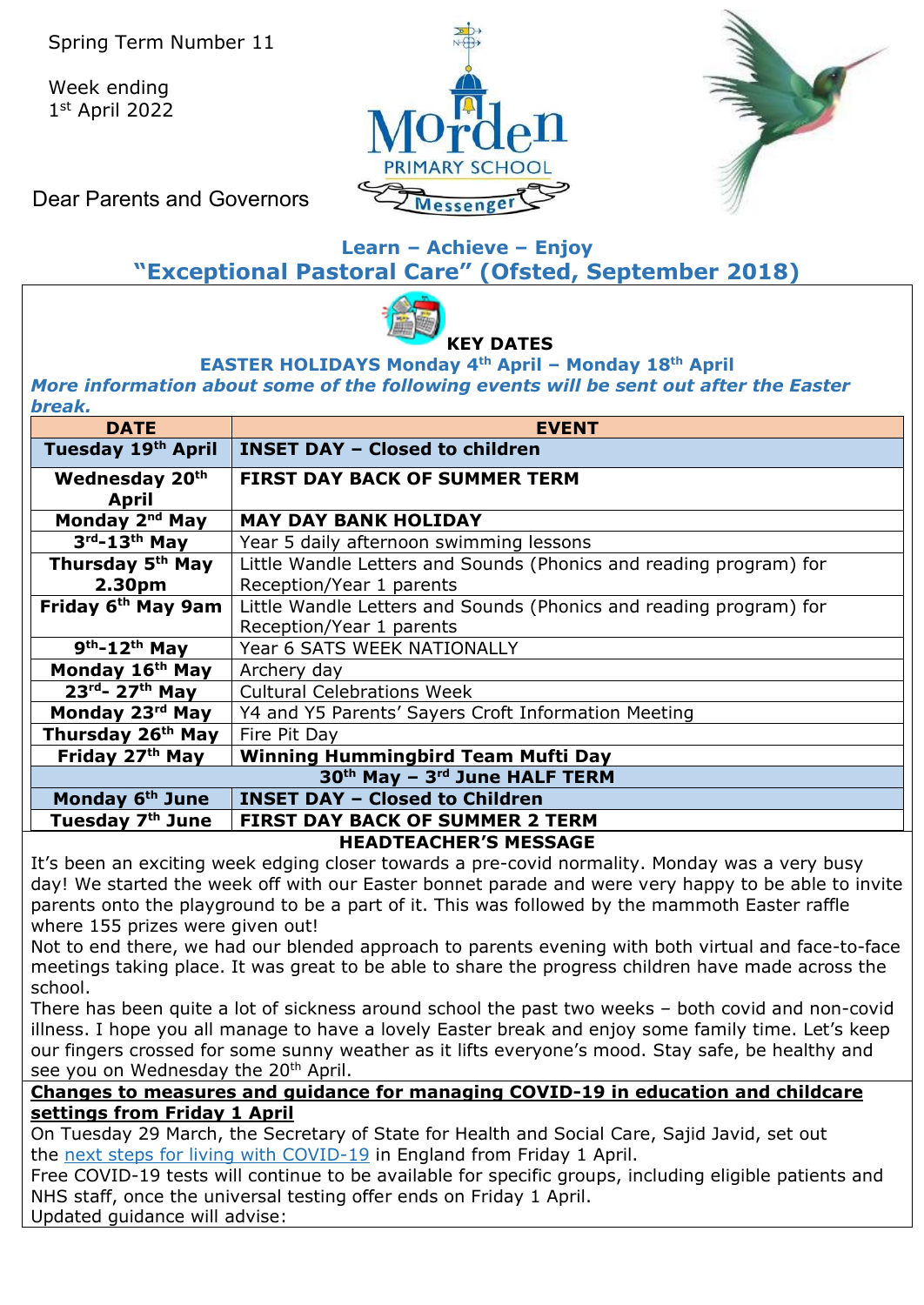Week ending 1st April 2022





Dear Parents and Governors

## **Learn – Achieve – Enjoy "Exceptional Pastoral Care" (Ofsted, September 2018)**



#### **EASTER HOLIDAYS Monday 4th April – Monday 18th April** *More information about some of the following events will be sent out after the Easter break.*

| vı car.<br><b>DATE</b>                                                                               | <b>EVENT</b>                                                       |  |  |  |  |
|------------------------------------------------------------------------------------------------------|--------------------------------------------------------------------|--|--|--|--|
| Tuesday 19th April                                                                                   | <b>INSET DAY - Closed to children</b>                              |  |  |  |  |
| Wednesday 20th<br><b>April</b>                                                                       | <b>FIRST DAY BACK OF SUMMER TERM</b>                               |  |  |  |  |
| Monday 2 <sup>nd</sup> May                                                                           | <b>MAY DAY BANK HOLIDAY</b>                                        |  |  |  |  |
| $3rd-13th$ May                                                                                       | Year 5 daily afternoon swimming lessons                            |  |  |  |  |
| Thursday 5 <sup>th</sup> May                                                                         | Little Wandle Letters and Sounds (Phonics and reading program) for |  |  |  |  |
| 2.30 <sub>pm</sub>                                                                                   | Reception/Year 1 parents                                           |  |  |  |  |
| Friday 6 <sup>th</sup> May 9am<br>Little Wandle Letters and Sounds (Phonics and reading program) for |                                                                    |  |  |  |  |
|                                                                                                      | Reception/Year 1 parents                                           |  |  |  |  |
| $9th - 12th$ May                                                                                     | Year 6 SATS WEEK NATIONALLY                                        |  |  |  |  |
| Monday 16 <sup>th</sup> May                                                                          | Archery day                                                        |  |  |  |  |
| $23rd - 27th$ May                                                                                    | <b>Cultural Celebrations Week</b>                                  |  |  |  |  |
| Monday 23rd May                                                                                      | Y4 and Y5 Parents' Sayers Croft Information Meeting                |  |  |  |  |
| Thursday 26 <sup>th</sup> May                                                                        | Fire Pit Day                                                       |  |  |  |  |
| Friday 27 <sup>th</sup> May                                                                          | <b>Winning Hummingbird Team Mufti Day</b>                          |  |  |  |  |
| 30th May - 3rd June HALF TERM                                                                        |                                                                    |  |  |  |  |
| Monday 6 <sup>th</sup> June                                                                          | <b>INSET DAY - Closed to Children</b>                              |  |  |  |  |
| Tuesday 7th June                                                                                     | <b>FIRST DAY BACK OF SUMMER 2 TERM</b>                             |  |  |  |  |

**HEADTEACHER'S MESSAGE** 

It's been an exciting week edging closer towards a pre-covid normality. Monday was a very busy day! We started the week off with our Easter bonnet parade and were very happy to be able to invite parents onto the playground to be a part of it. This was followed by the mammoth Easter raffle where 155 prizes were given out!

Not to end there, we had our blended approach to parents evening with both virtual and face-to-face meetings taking place. It was great to be able to share the progress children have made across the school.

There has been quite a lot of sickness around school the past two weeks – both covid and non-covid illness. I hope you all manage to have a lovely Easter break and enjoy some family time. Let's keep our fingers crossed for some sunny weather as it lifts everyone's mood. Stay safe, be healthy and see you on Wednesday the 20<sup>th</sup> April.

#### **Changes to measures and guidance for managing COVID-19 in education and childcare settings from Friday 1 April**

On Tuesday 29 March, the Secretary of State for Health and Social Care, Sajid Javid, set out the [next steps for living with COVID-19](https://www.gov.uk/government/news/government-sets-out-next-steps-for-living-with-covid?utm_source=31%20March%202022%20C19&utm_medium=Daily%20Email%20C19&utm_campaign=DfE%20C19) in England from Friday 1 April.

Free COVID-19 tests will continue to be available for specific groups, including eligible patients and NHS staff, once the universal testing offer ends on Friday 1 April.

Updated guidance will advise: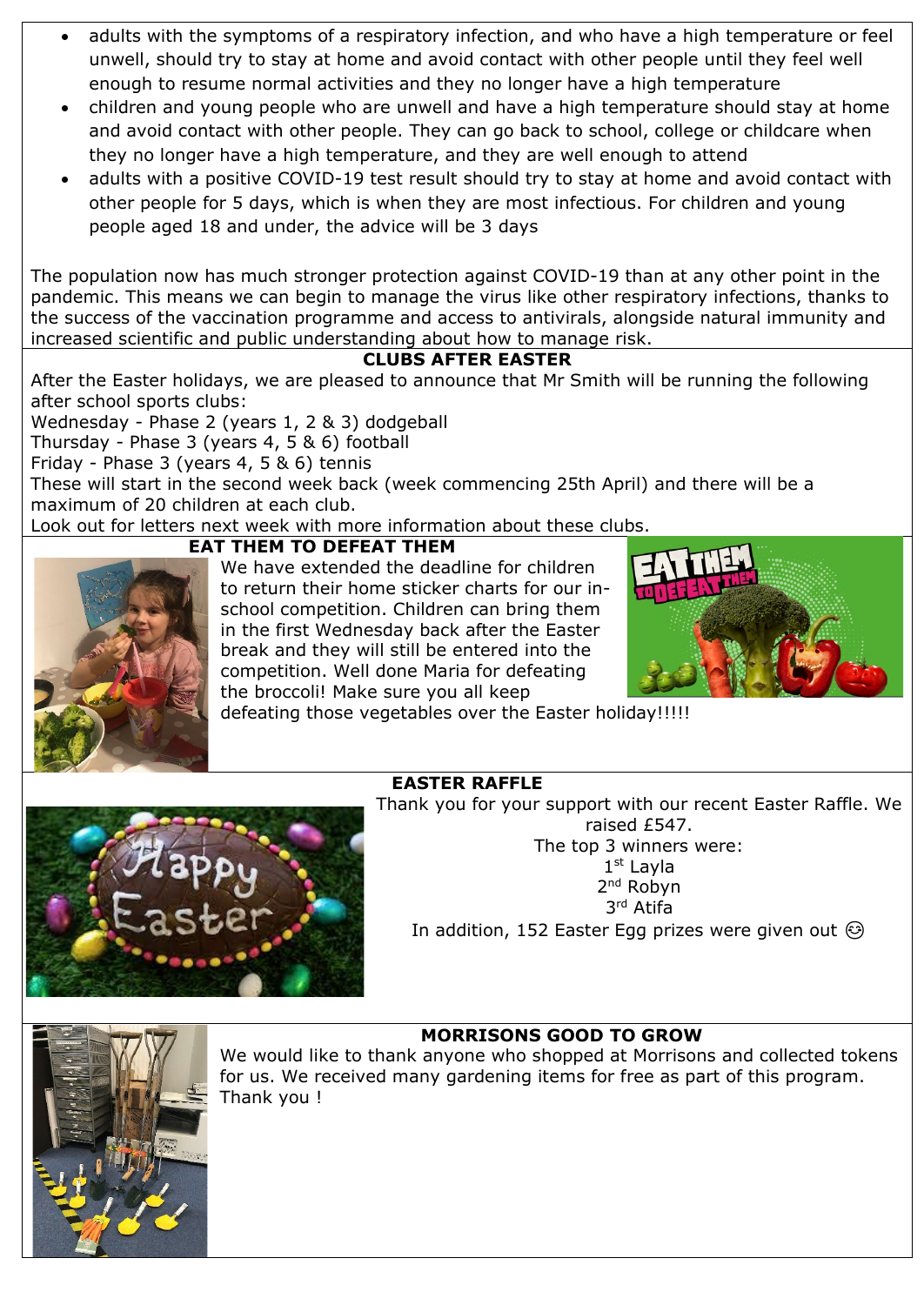- adults with the symptoms of a respiratory infection, and who have a high temperature or feel unwell, should try to stay at home and avoid contact with other people until they feel well enough to resume normal activities and they no longer have a high temperature
- children and young people who are unwell and have a high temperature should stay at home and avoid contact with other people. They can go back to school, college or childcare when they no longer have a high temperature, and they are well enough to attend
- adults with a positive COVID-19 test result should try to stay at home and avoid contact with other people for 5 days, which is when they are most infectious. For children and young people aged 18 and under, the advice will be 3 days

The population now has much stronger protection against COVID-19 than at any other point in the pandemic. This means we can begin to manage the virus like other respiratory infections, thanks to the success of the vaccination programme and access to antivirals, alongside natural immunity and increased scientific and public understanding about how to manage risk.

#### **CLUBS AFTER EASTER**

After the Easter holidays, we are pleased to announce that Mr Smith will be running the following after school sports clubs:

Wednesday - Phase 2 (years 1, 2 & 3) dodgeball Thursday - Phase 3 (years 4, 5 & 6) football Friday - Phase 3 (years 4, 5 & 6) tennis These will start in the second week back (week commencing 25th April) and there will be a maximum of 20 children at each club.

Look out for letters next week with more information about these clubs.



#### **EAT THEM TO DEFEAT THEM**

We have extended the deadline for children to return their home sticker charts for our inschool competition. Children can bring them in the first Wednesday back after the Easter break and they will still be entered into the competition. Well done Maria for defeating the broccoli! Make sure you all keep



defeating those vegetables over the Easter holiday!!!!!

#### **EASTER RAFFLE**

Thank you for your support with our recent Easter Raffle. We

raised £547. The top 3 winners were: 1st Layla 2nd Robyn 3rd Atifa

In addition, 152 Easter Egg prizes were given out  $\odot$ 



### **MORRISONS GOOD TO GROW**

We would like to thank anyone who shopped at Morrisons and collected tokens for us. We received many gardening items for free as part of this program. Thank you !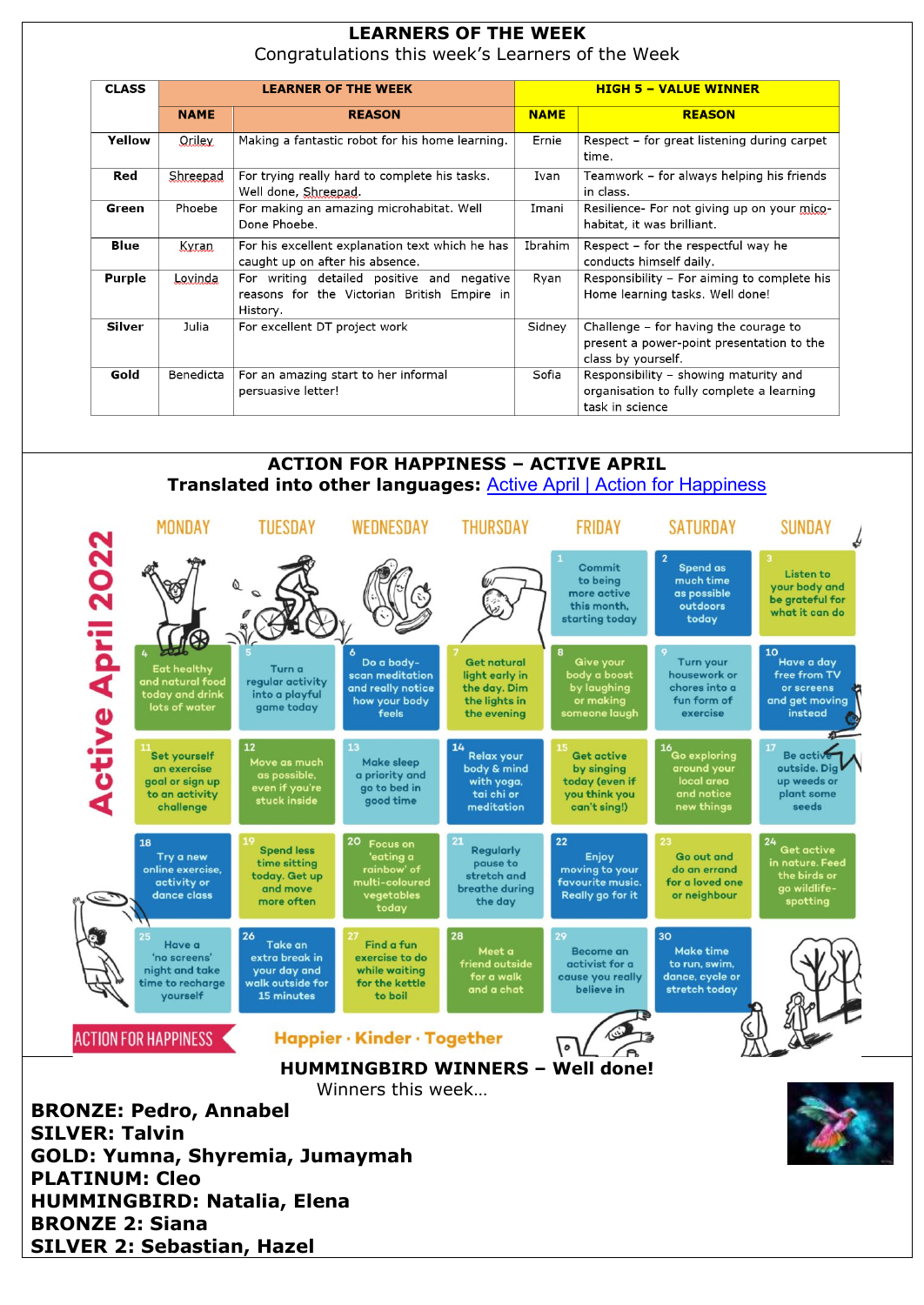# **LEARNERS OF THE WEEK**

Congratulations this week's Learners of the Week

| <b>CLASS</b>  | <b>LEARNER OF THE WEEK</b> |                                                                                                       |             | <b>HIGH 5 - VALUE WINNER</b>                                                                             |  |  |
|---------------|----------------------------|-------------------------------------------------------------------------------------------------------|-------------|----------------------------------------------------------------------------------------------------------|--|--|
|               | <b>NAME</b>                | <b>REASON</b>                                                                                         | <b>NAME</b> | <b>REASON</b>                                                                                            |  |  |
| Yellow        | Oriley.                    | Making a fantastic robot for his home learning.                                                       | Ernie       | Respect – for great listening during carpet<br>time.                                                     |  |  |
| Red           | Shreepad                   | For trying really hard to complete his tasks.<br>Well done, Shreepad.                                 | Ivan        | Teamwork - for always helping his friends<br>in class.                                                   |  |  |
| Green         | Phoebe                     | For making an amazing microhabitat. Well<br>Done Phoebe.                                              | Imani       | Resilience- For not giving up on your mico-<br>habitat, it was brilliant.                                |  |  |
| <b>Blue</b>   | Kyran.                     | For his excellent explanation text which he has<br>caught up on after his absence.                    | Ibrahim     | Respect - for the respectful way he<br>conducts himself daily.                                           |  |  |
| <b>Purple</b> | Lovinda                    | For writing detailed positive and negative<br>reasons for the Victorian British Empire in<br>History. | Ryan        | Responsibility - For aiming to complete his<br>Home learning tasks. Well done!                           |  |  |
| Silver        | Julia                      | For excellent DT project work                                                                         | Sidney      | Challenge – for having the courage to<br>present a power-point presentation to the<br>class by yourself. |  |  |
| Gold          | Benedicta                  | For an amazing start to her informal<br>persuasive letter!                                            | Sofia       | Responsibility - showing maturity and<br>organisation to fully complete a learning<br>task in science    |  |  |

#### **ACTION FOR HAPPINESS – ACTIVE APRIL Translated into other languages:** Active April [| Action for Happiness](https://actionforhappiness.org/calendar#download-block-anchor)